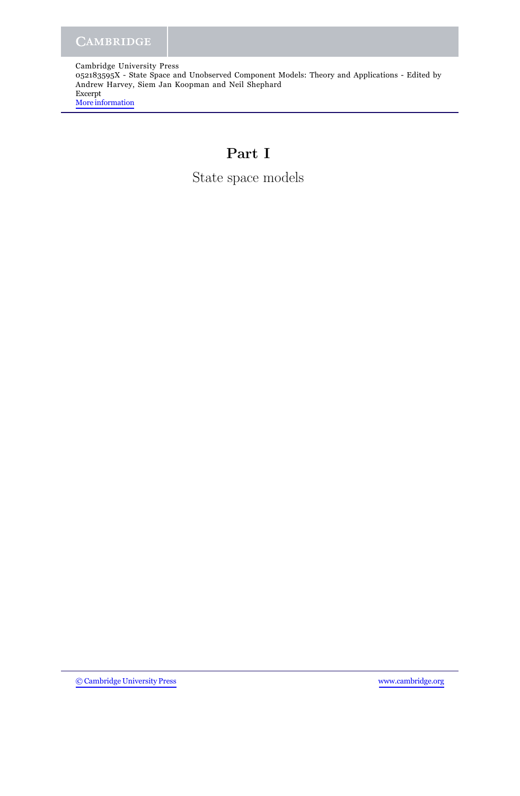Cambridge University Press 052183595X - State Space and Unobserved Component Models: Theory and Applications - Edited by Andrew Harvey, Siem Jan Koopman and Neil Shephard Excerpt [More information](http://www.cambridge.org/052183595X)

# **Part I**

State space models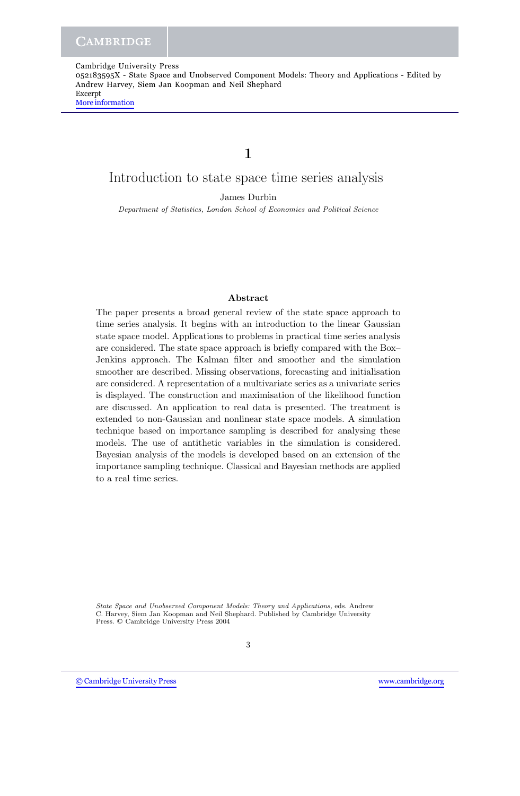052183595X - State Space and Unobserved Component Models: Theory and Applications - Edited by Andrew Harvey, Siem Jan Koopman and Neil Shephard Excerpt [More information](http://www.cambridge.org/052183595X)

## **1**

## Introduction to state space time series analysis

James Durbin

Department of Statistics, London School of Economics and Political Science

### **Abstract**

The paper presents a broad general review of the state space approach to time series analysis. It begins with an introduction to the linear Gaussian state space model. Applications to problems in practical time series analysis are considered. The state space approach is briefly compared with the Box– Jenkins approach. The Kalman filter and smoother and the simulation smoother are described. Missing observations, forecasting and initialisation are considered. A representation of a multivariate series as a univariate series is displayed. The construction and maximisation of the likelihood function are discussed. An application to real data is presented. The treatment is extended to non-Gaussian and nonlinear state space models. A simulation technique based on importance sampling is described for analysing these models. The use of antithetic variables in the simulation is considered. Bayesian analysis of the models is developed based on an extension of the importance sampling technique. Classical and Bayesian methods are applied to a real time series.

State Space and Unobserved Component Models: Theory and Applications, eds. Andrew C. Harvey, Siem Jan Koopman and Neil Shephard. Published by Cambridge University Press.  $\oslash$  Cambridge University Press 2004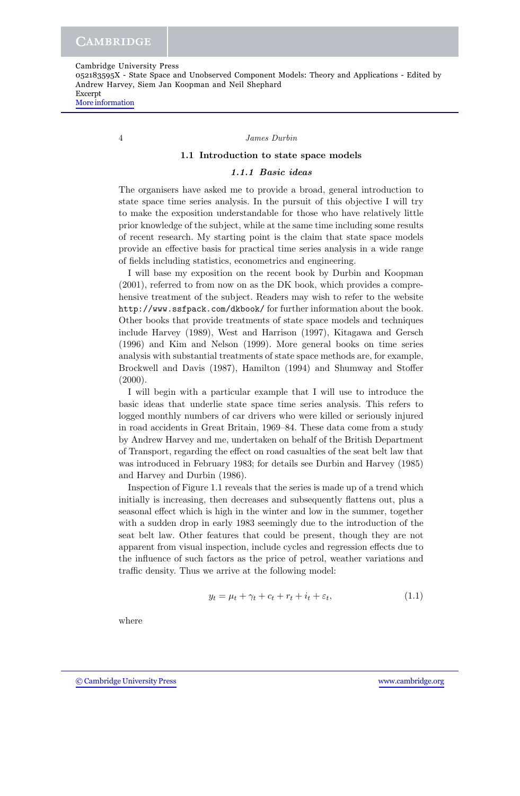052183595X - State Space and Unobserved Component Models: Theory and Applications - Edited by Andrew Harvey, Siem Jan Koopman and Neil Shephard Excerpt

[More information](http://www.cambridge.org/052183595X)

#### 4 *James Durbin*

### **1.1 Introduction to state space models**

## *1.1.1 Basic ideas*

The organisers have asked me to provide a broad, general introduction to state space time series analysis. In the pursuit of this objective I will try to make the exposition understandable for those who have relatively little prior knowledge of the subject, while at the same time including some results of recent research. My starting point is the claim that state space models provide an effective basis for practical time series analysis in a wide range of fields including statistics, econometrics and engineering.

I will base my exposition on the recent book by Durbin and Koopman (2001), referred to from now on as the DK book, which provides a comprehensive treatment of the subject. Readers may wish to refer to the website http://www.ssfpack.com/dkbook/ for further information about the book. Other books that provide treatments of state space models and techniques include Harvey (1989), West and Harrison (1997), Kitagawa and Gersch (1996) and Kim and Nelson (1999). More general books on time series analysis with substantial treatments of state space methods are, for example, Brockwell and Davis (1987), Hamilton (1994) and Shumway and Stoffer  $(2000).$ 

I will begin with a particular example that I will use to introduce the basic ideas that underlie state space time series analysis. This refers to logged monthly numbers of car drivers who were killed or seriously injured in road accidents in Great Britain, 1969–84. These data come from a study by Andrew Harvey and me, undertaken on behalf of the British Department of Transport, regarding the effect on road casualties of the seat belt law that was introduced in February 1983; for details see Durbin and Harvey (1985) and Harvey and Durbin (1986).

Inspection of Figure 1.1 reveals that the series is made up of a trend which initially is increasing, then decreases and subsequently flattens out, plus a seasonal effect which is high in the winter and low in the summer, together with a sudden drop in early 1983 seemingly due to the introduction of the seat belt law. Other features that could be present, though they are not apparent from visual inspection, include cycles and regression effects due to the influence of such factors as the price of petrol, weather variations and traffic density. Thus we arrive at the following model:

$$
y_t = \mu_t + \gamma_t + c_t + r_t + i_t + \varepsilon_t, \tag{1.1}
$$

where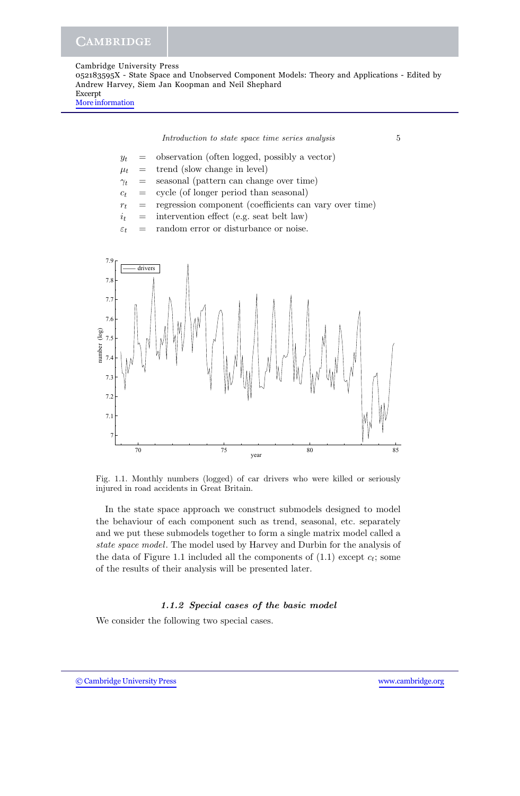Cambridge University Press 052183595X - State Space and Unobserved Component Models: Theory and Applications - Edited by Andrew Harvey, Siem Jan Koopman and Neil Shephard Excerpt [More information](http://www.cambridge.org/052183595X)



Fig. 1.1. Monthly numbers (logged) of car drivers who were killed or seriously injured in road accidents in Great Britain.

In the state space approach we construct submodels designed to model the behaviour of each component such as trend, seasonal, etc. separately and we put these submodels together to form a single matrix model called a *state space model*. The model used by Harvey and Durbin for the analysis of the data of Figure 1.1 included all the components of  $(1.1)$  except  $c_t$ ; some of the results of their analysis will be presented later.

## *1.1.2 Special cases of the basic model*

We consider the following two special cases.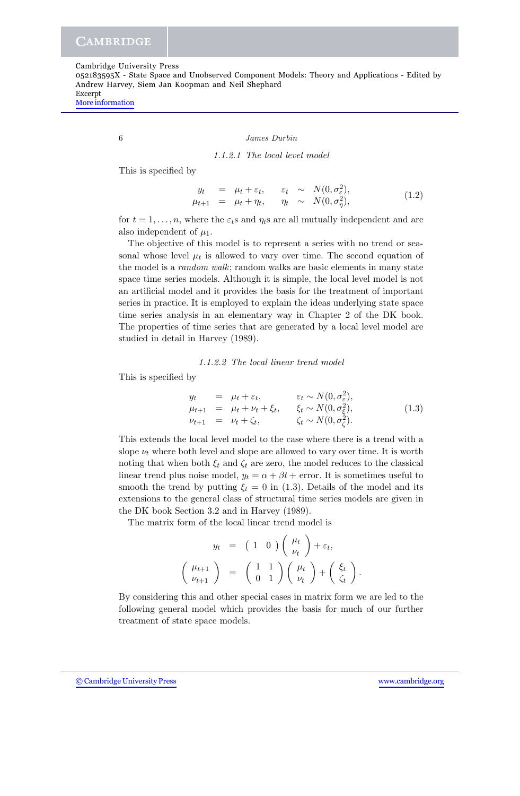052183595X - State Space and Unobserved Component Models: Theory and Applications - Edited by Andrew Harvey, Siem Jan Koopman and Neil Shephard Excerpt

[More information](http://www.cambridge.org/052183595X)

#### 6 *James Durbin*

### *1.1.2.1 The local level model*

This is specified by

$$
y_t = \mu_t + \varepsilon_t, \quad \varepsilon_t \sim N(0, \sigma_{\varepsilon}^2), \n\mu_{t+1} = \mu_t + \eta_t, \quad \eta_t \sim N(0, \sigma_{\eta}^2),
$$
\n(1.2)

for  $t = 1, \ldots, n$ , where the  $\varepsilon_t$ s and  $\eta_t$ s are all mutually independent and are also independent of  $\mu_1$ .

The objective of this model is to represent a series with no trend or seasonal whose level  $\mu_t$  is allowed to vary over time. The second equation of the model is a *random walk*; random walks are basic elements in many state space time series models. Although it is simple, the local level model is not an artificial model and it provides the basis for the treatment of important series in practice. It is employed to explain the ideas underlying state space time series analysis in an elementary way in Chapter 2 of the DK book. The properties of time series that are generated by a local level model are studied in detail in Harvey (1989).

#### *1.1.2.2 The local linear trend model*

This is specified by

$$
y_t = \mu_t + \varepsilon_t, \qquad \varepsilon_t \sim N(0, \sigma_{\varepsilon}^2), \n\mu_{t+1} = \mu_t + \nu_t + \xi_t, \qquad \xi_t \sim N(0, \sigma_{\varepsilon}^2), \n\nu_{t+1} = \nu_t + \zeta_t, \qquad \zeta_t \sim N(0, \sigma_{\zeta}^2).
$$
\n(1.3)

This extends the local level model to the case where there is a trend with a slope  $\nu_t$  where both level and slope are allowed to vary over time. It is worth noting that when both  $\xi_t$  and  $\zeta_t$  are zero, the model reduces to the classical linear trend plus noise model,  $y_t = \alpha + \beta t$  + error. It is sometimes useful to smooth the trend by putting  $\xi_t = 0$  in (1.3). Details of the model and its extensions to the general class of structural time series models are given in the DK book Section 3.2 and in Harvey (1989).

The matrix form of the local linear trend model is

$$
y_t = (1 \ 0) \begin{pmatrix} \mu_t \\ \nu_t \end{pmatrix} + \varepsilon_t,
$$

$$
\begin{pmatrix} \mu_{t+1} \\ \nu_{t+1} \end{pmatrix} = \begin{pmatrix} 1 & 1 \\ 0 & 1 \end{pmatrix} \begin{pmatrix} \mu_t \\ \nu_t \end{pmatrix} + \begin{pmatrix} \xi_t \\ \zeta_t \end{pmatrix}.
$$

By considering this and other special cases in matrix form we are led to the following general model which provides the basis for much of our further treatment of state space models.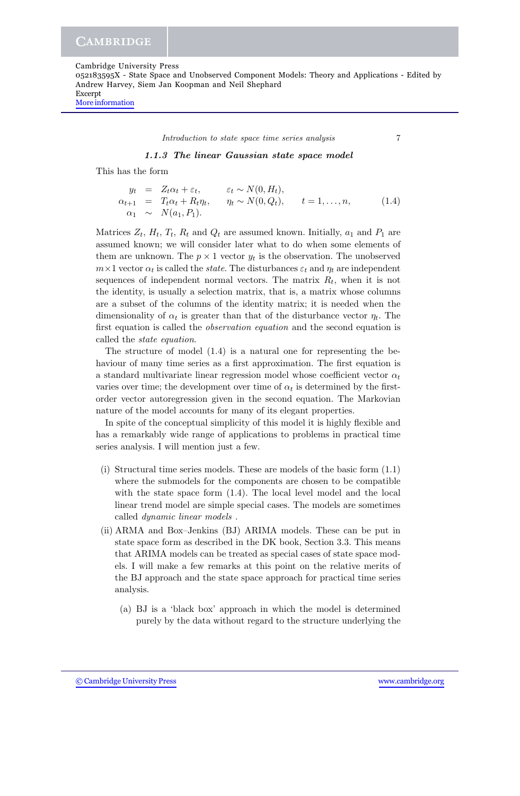052183595X - State Space and Unobserved Component Models: Theory and Applications - Edited by Andrew Harvey, Siem Jan Koopman and Neil Shephard Excerpt

[More information](http://www.cambridge.org/052183595X)

*Introduction to state space time series analysis* 7

*1.1.3 The linear Gaussian state space model*

This has the form

|  | $y_t = Z_t \alpha_t + \varepsilon_t,$       | $\varepsilon_t \sim N(0, H_t),$                   |       |
|--|---------------------------------------------|---------------------------------------------------|-------|
|  | $\alpha_{t+1} = T_t \alpha_t + R_t \eta_t,$ | $\eta_t \sim N(0, Q_t), \qquad t = 1, \ldots, n,$ | (1.4) |
|  | $\alpha_1 \sim N(a_1, P_1).$                |                                                   |       |

Matrices  $Z_t$ ,  $H_t$ ,  $T_t$ ,  $R_t$  and  $Q_t$  are assumed known. Initially,  $a_1$  and  $P_1$  are assumed known; we will consider later what to do when some elements of them are unknown. The  $p \times 1$  vector  $y_t$  is the observation. The unobserved  $m \times 1$  vector  $\alpha_t$  is called the *state*. The disturbances  $\varepsilon_t$  and  $\eta_t$  are independent sequences of independent normal vectors. The matrix  $R_t$ , when it is not the identity, is usually a selection matrix, that is, a matrix whose columns are a subset of the columns of the identity matrix; it is needed when the dimensionality of  $\alpha_t$  is greater than that of the disturbance vector  $\eta_t$ . The first equation is called the *observation equation* and the second equation is called the *state equation*.

The structure of model (1.4) is a natural one for representing the behaviour of many time series as a first approximation. The first equation is a standard multivariate linear regression model whose coefficient vector  $\alpha_t$ varies over time; the development over time of  $\alpha_t$  is determined by the firstorder vector autoregression given in the second equation. The Markovian nature of the model accounts for many of its elegant properties.

In spite of the conceptual simplicity of this model it is highly flexible and has a remarkably wide range of applications to problems in practical time series analysis. I will mention just a few.

- (i) Structural time series models. These are models of the basic form (1.1) where the submodels for the components are chosen to be compatible with the state space form  $(1.4)$ . The local level model and the local linear trend model are simple special cases. The models are sometimes called *dynamic linear models* .
- (ii) ARMA and Box–Jenkins (BJ) ARIMA models. These can be put in state space form as described in the DK book, Section 3.3. This means that ARIMA models can be treated as special cases of state space models. I will make a few remarks at this point on the relative merits of the BJ approach and the state space approach for practical time series analysis.
	- (a) BJ is a 'black box' approach in which the model is determined purely by the data without regard to the structure underlying the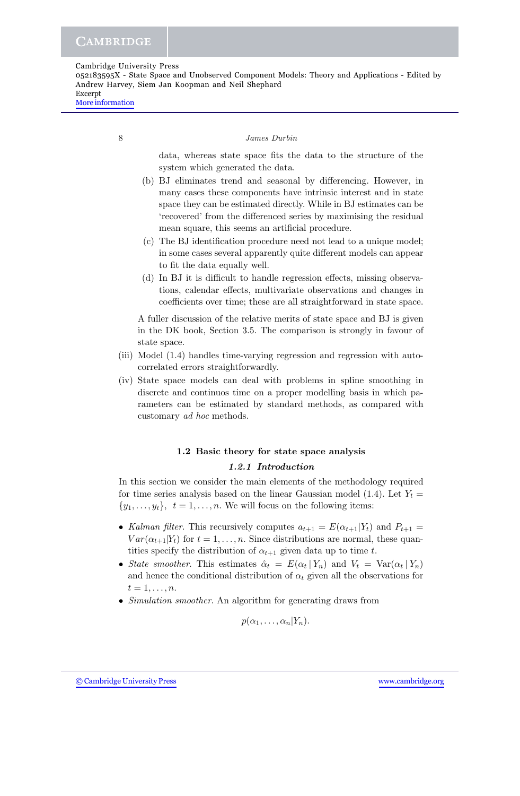052183595X - State Space and Unobserved Component Models: Theory and Applications - Edited by Andrew Harvey, Siem Jan Koopman and Neil Shephard Excerpt

[More information](http://www.cambridge.org/052183595X)

8 *James Durbin*

data, whereas state space fits the data to the structure of the system which generated the data.

- (b) BJ eliminates trend and seasonal by differencing. However, in many cases these components have intrinsic interest and in state space they can be estimated directly. While in BJ estimates can be 'recovered' from the differenced series by maximising the residual mean square, this seems an artificial procedure.
- (c) The BJ identification procedure need not lead to a unique model; in some cases several apparently quite different models can appear to fit the data equally well.
- (d) In BJ it is difficult to handle regression effects, missing observations, calendar effects, multivariate observations and changes in coefficients over time; these are all straightforward in state space.

A fuller discussion of the relative merits of state space and BJ is given in the DK book, Section 3.5. The comparison is strongly in favour of state space.

- (iii) Model (1.4) handles time-varying regression and regression with autocorrelated errors straightforwardly.
- (iv) State space models can deal with problems in spline smoothing in discrete and continuos time on a proper modelling basis in which parameters can be estimated by standard methods, as compared with customary *ad hoc* methods.

## **1.2 Basic theory for state space analysis**

## *1.2.1 Introduction*

In this section we consider the main elements of the methodology required for time series analysis based on the linear Gaussian model (1.4). Let  $Y_t =$  $\{y_1,\ldots,y_t\},\ \ t=1,\ldots,n.$  We will focus on the following items:

- *Kalman filter*. This recursively computes  $a_{t+1} = E(\alpha_{t+1}|Y_t)$  and  $P_{t+1} =$  $Var(\alpha_{t+1}|Y_t)$  for  $t = 1, \ldots, n$ . Since distributions are normal, these quantities specify the distribution of  $\alpha_{t+1}$  given data up to time t.
- *State smoother*. This estimates  $\hat{\alpha}_t = E(\alpha_t | Y_n)$  and  $V_t = \text{Var}(\alpha_t | Y_n)$ and hence the conditional distribution of  $\alpha_t$  given all the observations for  $t=1,\ldots,n.$
- *Simulation smoother*. An algorithm for generating draws from

$$
p(\alpha_1,\ldots,\alpha_n|Y_n).
$$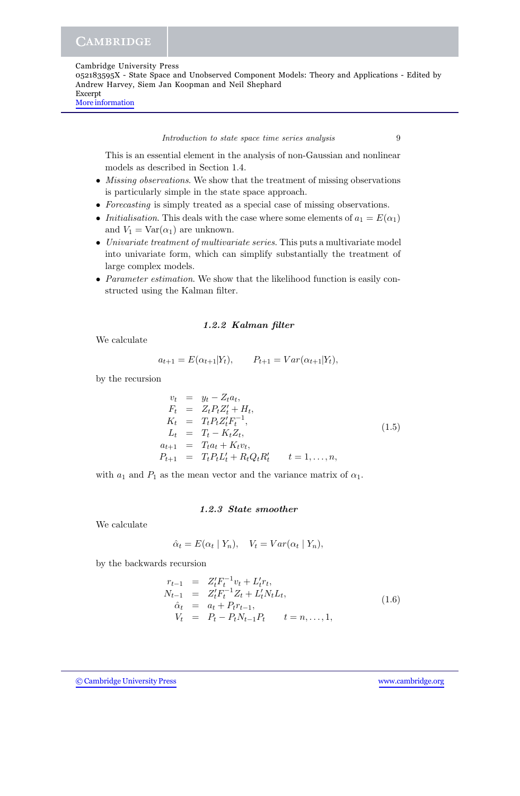052183595X - State Space and Unobserved Component Models: Theory and Applications - Edited by Andrew Harvey, Siem Jan Koopman and Neil Shephard Excerpt

[More information](http://www.cambridge.org/052183595X)

*Introduction to state space time series analysis* 9

This is an essential element in the analysis of non-Gaussian and nonlinear models as described in Section 1.4.

- *Missing observations*. We show that the treatment of missing observations is particularly simple in the state space approach.
- *Forecasting* is simply treated as a special case of missing observations.
- *Initialisation*. This deals with the case where some elements of  $a_1 = E(\alpha_1)$ and  $V_1 = \text{Var}(\alpha_1)$  are unknown.
- *Univariate treatment of multivariate series*. This puts a multivariate model into univariate form, which can simplify substantially the treatment of large complex models.
- *Parameter estimation*. We show that the likelihood function is easily constructed using the Kalman filter.

## *1.2.2 Kalman filter*

We calculate

$$
a_{t+1} = E(\alpha_{t+1}|Y_t), \qquad P_{t+1} = Var(\alpha_{t+1}|Y_t),
$$

by the recursion

$$
v_t = y_t - Z_t a_t,
$$
  
\n
$$
F_t = Z_t P_t Z_t' + H_t,
$$
  
\n
$$
K_t = T_t P_t Z_t' F_t^{-1},
$$
  
\n
$$
L_t = T_t - K_t Z_t,
$$
  
\n
$$
a_{t+1} = T_t a_t + K_t v_t,
$$
  
\n
$$
P_{t+1} = T_t P_t L_t' + R_t Q_t R_t' \qquad t = 1, ..., n,
$$
\n(1.5)

with  $a_1$  and  $P_1$  as the mean vector and the variance matrix of  $\alpha_1$ .

## *1.2.3 State smoother*

We calculate

$$
\hat{\alpha}_t = E(\alpha_t | Y_n), \quad V_t = Var(\alpha_t | Y_n),
$$

by the backwards recursion

$$
r_{t-1} = Z_t' F_t^{-1} v_t + L_t' r_t,
$$
  
\n
$$
N_{t-1} = Z_t' F_t^{-1} Z_t + L_t' N_t L_t,
$$
  
\n
$$
\hat{\alpha}_t = a_t + P_t r_{t-1},
$$
  
\n
$$
V_t = P_t - P_t N_{t-1} P_t \qquad t = n, ..., 1,
$$
\n(1.6)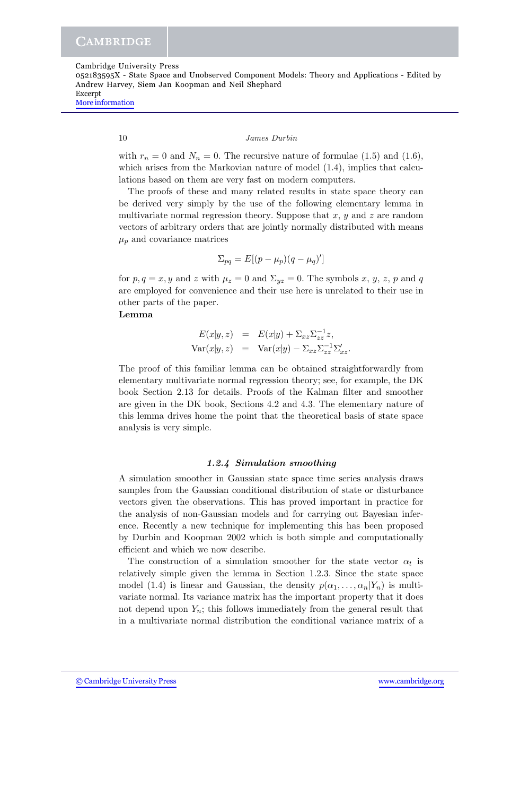052183595X - State Space and Unobserved Component Models: Theory and Applications - Edited by Andrew Harvey, Siem Jan Koopman and Neil Shephard Excerpt

[More information](http://www.cambridge.org/052183595X)

#### 10 *James Durbin*

with  $r_n = 0$  and  $N_n = 0$ . The recursive nature of formulae (1.5) and (1.6), which arises from the Markovian nature of model  $(1.4)$ , implies that calculations based on them are very fast on modern computers.

The proofs of these and many related results in state space theory can be derived very simply by the use of the following elementary lemma in multivariate normal regression theory. Suppose that  $x, y$  and  $z$  are random vectors of arbitrary orders that are jointly normally distributed with means  $\mu_p$  and covariance matrices

$$
\Sigma_{pq} = E[(p - \mu_p)(q - \mu_q)']
$$

for  $p, q = x, y$  and z with  $\mu_z = 0$  and  $\Sigma_{yz} = 0$ . The symbols x, y, z, p and q are employed for convenience and their use here is unrelated to their use in other parts of the paper.

## **Lemma**

$$
E(x|y, z) = E(x|y) + \Sigma_{xz}\Sigma_{zz}^{-1}z,
$$
  
\n
$$
Var(x|y, z) = Var(x|y) - \Sigma_{xz}\Sigma_{zz}^{-1}\Sigma_{xz}.
$$

The proof of this familiar lemma can be obtained straightforwardly from elementary multivariate normal regression theory; see, for example, the DK book Section 2.13 for details. Proofs of the Kalman filter and smoother are given in the DK book, Sections 4.2 and 4.3. The elementary nature of this lemma drives home the point that the theoretical basis of state space analysis is very simple.

## *1.2.4 Simulation smoothing*

A simulation smoother in Gaussian state space time series analysis draws samples from the Gaussian conditional distribution of state or disturbance vectors given the observations. This has proved important in practice for the analysis of non-Gaussian models and for carrying out Bayesian inference. Recently a new technique for implementing this has been proposed by Durbin and Koopman 2002 which is both simple and computationally efficient and which we now describe.

The construction of a simulation smoother for the state vector  $\alpha_t$  is relatively simple given the lemma in Section 1.2.3. Since the state space model (1.4) is linear and Gaussian, the density  $p(\alpha_1,\ldots,\alpha_n|Y_n)$  is multivariate normal. Its variance matrix has the important property that it does not depend upon  $Y_n$ ; this follows immediately from the general result that in a multivariate normal distribution the conditional variance matrix of a